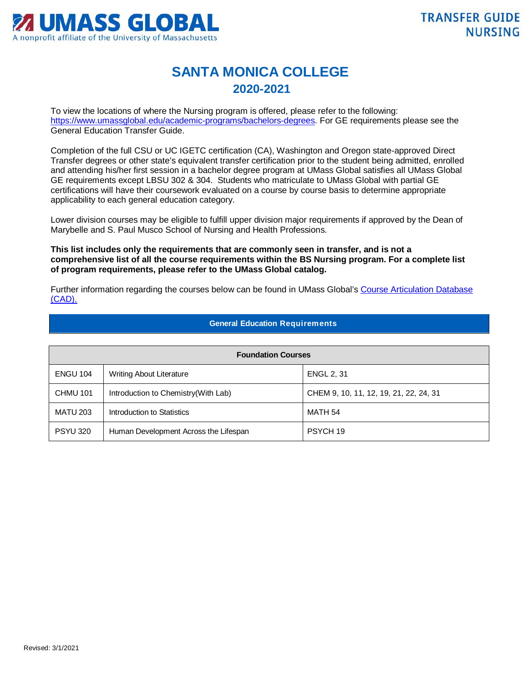

## **SANTA MONICA COLLEGE 2020-2021**

To view the locations of where the Nursing program is offered, please refer to the following: [https://www.umassglobal.edu/academic-programs/bachelors-degrees.](https://www.umassglobal.edu/academic-programs/bachelors-degrees) For GE requirements please see the General Education Transfer Guide.

Completion of the full CSU or UC IGETC certification (CA), Washington and Oregon state-approved Direct Transfer degrees or other state's equivalent transfer certification prior to the student being admitted, enrolled and attending his/her first session in a bachelor degree program at UMass Global satisfies all UMass Global GE requirements except LBSU 302 & 304. Students who matriculate to UMass Global with partial GE certifications will have their coursework evaluated on a course by course basis to determine appropriate applicability to each general education category.

Lower division courses may be eligible to fulfill upper division major requirements if approved by the Dean of Marybelle and S. Paul Musco School of Nursing and Health Professions.

**This list includes only the requirements that are commonly seen in transfer, and is not a comprehensive list of all the course requirements within the BS Nursing program. For a complete list of program requirements, please refer to the UMass Global catalog.**

Further information regarding the courses below can be found in UMass Global's [Course Articulation Database](http://services.umassglobal.edu/studentservices/TransferCredit/)  [\(CAD\).](http://services.umassglobal.edu/studentservices/TransferCredit/) 

## **General Education Requirements**

| <b>Foundation Courses</b> |                                       |                                        |  |
|---------------------------|---------------------------------------|----------------------------------------|--|
| <b>ENGU 104</b>           | <b>Writing About Literature</b>       | <b>ENGL 2, 31</b>                      |  |
| <b>CHMU 101</b>           | Introduction to Chemistry (With Lab)  | CHEM 9, 10, 11, 12, 19, 21, 22, 24, 31 |  |
| <b>MATU 203</b>           | Introduction to Statistics            | MATH 54                                |  |
| <b>PSYU 320</b>           | Human Development Across the Lifespan | PSYCH 19                               |  |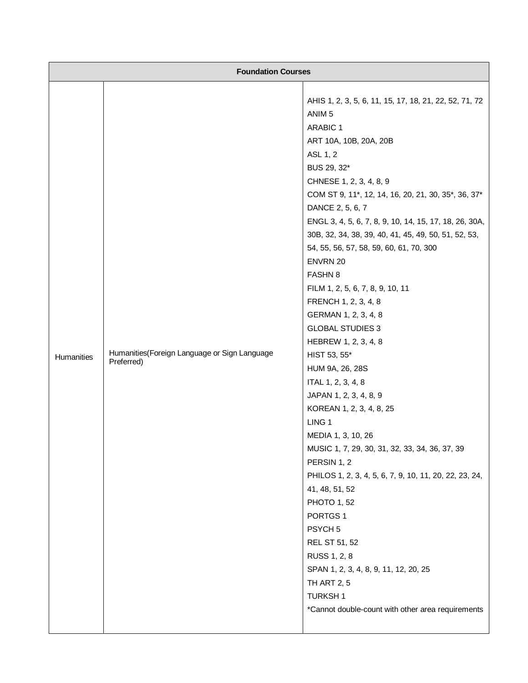| <b>Foundation Courses</b> |                                                             |                                                                                                                                                                                                                                                                                                                                                                                                                                                                                                                                                                                                                                                                                                                                                                                                                                                                                                                                                                                                                                                                                                                                              |  |
|---------------------------|-------------------------------------------------------------|----------------------------------------------------------------------------------------------------------------------------------------------------------------------------------------------------------------------------------------------------------------------------------------------------------------------------------------------------------------------------------------------------------------------------------------------------------------------------------------------------------------------------------------------------------------------------------------------------------------------------------------------------------------------------------------------------------------------------------------------------------------------------------------------------------------------------------------------------------------------------------------------------------------------------------------------------------------------------------------------------------------------------------------------------------------------------------------------------------------------------------------------|--|
| Humanities                | Humanities (Foreign Language or Sign Language<br>Preferred) | AHIS 1, 2, 3, 5, 6, 11, 15, 17, 18, 21, 22, 52, 71, 72<br>ANIM <sub>5</sub><br>ARABIC 1<br>ART 10A, 10B, 20A, 20B<br>ASL 1, 2<br>BUS 29, 32*<br>CHNESE 1, 2, 3, 4, 8, 9<br>COM ST 9, 11*, 12, 14, 16, 20, 21, 30, 35*, 36, 37*<br>DANCE 2, 5, 6, 7<br>ENGL 3, 4, 5, 6, 7, 8, 9, 10, 14, 15, 17, 18, 26, 30A,<br>30B, 32, 34, 38, 39, 40, 41, 45, 49, 50, 51, 52, 53,<br>54, 55, 56, 57, 58, 59, 60, 61, 70, 300<br>ENVRN 20<br><b>FASHN 8</b><br>FILM 1, 2, 5, 6, 7, 8, 9, 10, 11<br>FRENCH 1, 2, 3, 4, 8<br>GERMAN 1, 2, 3, 4, 8<br><b>GLOBAL STUDIES 3</b><br>HEBREW 1, 2, 3, 4, 8<br>HIST 53, 55*<br>HUM 9A, 26, 28S<br>ITAL 1, 2, 3, 4, 8<br>JAPAN 1, 2, 3, 4, 8, 9<br>KOREAN 1, 2, 3, 4, 8, 25<br>LING <sub>1</sub><br>MEDIA 1, 3, 10, 26<br>MUSIC 1, 7, 29, 30, 31, 32, 33, 34, 36, 37, 39<br>PERSIN 1, 2<br>PHILOS 1, 2, 3, 4, 5, 6, 7, 9, 10, 11, 20, 22, 23, 24,<br>41, 48, 51, 52<br><b>PHOTO 1, 52</b><br>PORTGS <sub>1</sub><br>PSYCH <sub>5</sub><br><b>REL ST 51, 52</b><br>RUSS 1, 2, 8<br>SPAN 1, 2, 3, 4, 8, 9, 11, 12, 20, 25<br><b>TH ART 2, 5</b><br><b>TURKSH1</b><br>*Cannot double-count with other area requirements |  |